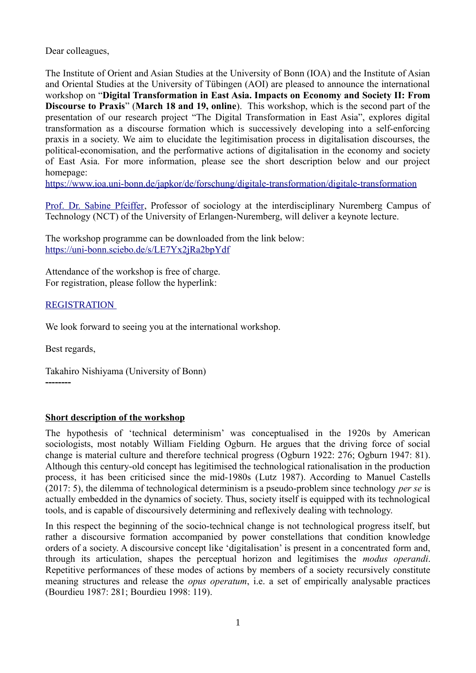Dear colleagues,

The Institute of Orient and Asian Studies at the University of Bonn (IOA) and the Institute of Asian and Oriental Studies at the University of Tübingen (AOI) are pleased to announce the international workshop on "**Digital Transformation in East Asia. Impacts on Economy and Society II: From Discourse to Praxis**" (**March 18 and 19, online**). This workshop, which is the second part of the presentation of our research project "The Digital Transformation in East Asia", explores digital transformation as a discourse formation which is successively developing into a self-enforcing praxis in a society. We aim to elucidate the legitimisation process in digitalisation discourses, the political-economisation, and the performative actions of digitalisation in the economy and society of East Asia. For more information, please see the short description below and our project homepage:

<https://www.ioa.uni-bonn.de/japkor/de/forschung/digitale-transformation/digitale-transformation>

[Prof. Dr. Sabine Pfeiffer](https://www.sabine-pfeiffer.de/), Professor of sociology at the interdisciplinary Nuremberg Campus of Technology (NCT) of the University of Erlangen-Nuremberg, will deliver a keynote lecture.

The workshop programme can be downloaded from the link below: <https://uni-bonn.sciebo.de/s/LE7Yx2jRa2bpYdf>

Attendance of the workshop is free of charge. For registration, please follow the hyperlink:

## [REGISTRATION](https://7a0ac076.sibforms.com/serve/MUIEAGrrIt5TfOs5cYqvvS1FBHodsLNTLD1j5revGOnXH6JSy-0Hn3tRL5V23KAdKDjDtkI1eeTwCOe_mMVrNuhrKHXG5qvWoW5XyiRU1tMJA17KsfjfGnKvpI6oNg-iW-xS8vGfeANi11Gyzr_435sAwKD_Lj5Rx-V4LV3Hqp9wQu-KlWe1vXgWAcz0FcOhU0R953CAimI8xAez)

We look forward to seeing you at the international workshop.

Best regards,

Takahiro Nishiyama (University of Bonn) **--------**

## **Short description of the workshop**

The hypothesis of 'technical determinism' was conceptualised in the 1920s by American sociologists, most notably William Fielding Ogburn. He argues that the driving force of social change is material culture and therefore technical progress (Ogburn 1922: 276; Ogburn 1947: 81). Although this century-old concept has legitimised the technological rationalisation in the production process, it has been criticised since the mid-1980s (Lutz 1987). According to Manuel Castells (2017: 5), the dilemma of technological determinism is a pseudo-problem since technology *per se* is actually embedded in the dynamics of society. Thus, society itself is equipped with its technological tools, and is capable of discoursively determining and reflexively dealing with technology.

In this respect the beginning of the socio-technical change is not technological progress itself, but rather a discoursive formation accompanied by power constellations that condition knowledge orders of a society. A discoursive concept like 'digitalisation' is present in a concentrated form and, through its articulation, shapes the perceptual horizon and legitimises the *modus operandi*. Repetitive performances of these modes of actions by members of a society recursively constitute meaning structures and release the *opus operatum*, i.e. a set of empirically analysable practices (Bourdieu 1987: 281; Bourdieu 1998: 119).